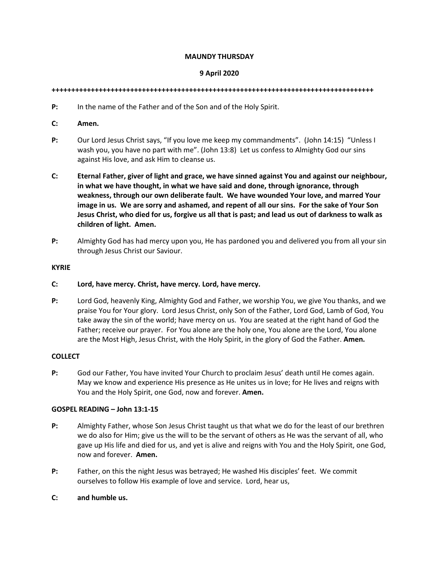# **MAUNDY THURSDAY**

# **9 April 2020**

#### **++++++++++++++++++++++++++++++++++++++++++++++++++++++++++++++++++++++++++++++++++**

- **P:** In the name of the Father and of the Son and of the Holy Spirit.
- **C: Amen.**
- **P:** Our Lord Jesus Christ says, "If you love me keep my commandments". (John 14:15) "Unless I wash you, you have no part with me". (John 13:8) Let us confess to Almighty God our sins against His love, and ask Him to cleanse us.
- **C: Eternal Father, giver of light and grace, we have sinned against You and against our neighbour, in what we have thought, in what we have said and done, through ignorance, through weakness, through our own deliberate fault. We have wounded Your love, and marred Your image in us. We are sorry and ashamed, and repent of all our sins. For the sake of Your Son Jesus Christ, who died for us, forgive us all that is past; and lead us out of darkness to walk as children of light. Amen.**
- **P:** Almighty God has had mercy upon you, He has pardoned you and delivered you from all your sin through Jesus Christ our Saviour.

# **KYRIE**

- **C: Lord, have mercy. Christ, have mercy. Lord, have mercy.**
- **P:** Lord God, heavenly King, Almighty God and Father, we worship You, we give You thanks, and we praise You for Your glory. Lord Jesus Christ, only Son of the Father, Lord God, Lamb of God, You take away the sin of the world; have mercy on us. You are seated at the right hand of God the Father; receive our prayer. For You alone are the holy one, You alone are the Lord, You alone are the Most High, Jesus Christ, with the Holy Spirit, in the glory of God the Father. **Amen.**

#### **COLLECT**

**P:** God our Father, You have invited Your Church to proclaim Jesus' death until He comes again. May we know and experience His presence as He unites us in love; for He lives and reigns with You and the Holy Spirit, one God, now and forever. **Amen.** 

#### **GOSPEL READING – John 13:1-15**

- **P:** Almighty Father, whose Son Jesus Christ taught us that what we do for the least of our brethren we do also for Him; give us the will to be the servant of others as He was the servant of all, who gave up His life and died for us, and yet is alive and reigns with You and the Holy Spirit, one God, now and forever. **Amen.**
- **P:** Father, on this the night Jesus was betrayed; He washed His disciples' feet. We commit ourselves to follow His example of love and service. Lord, hear us,
- **C: and humble us.**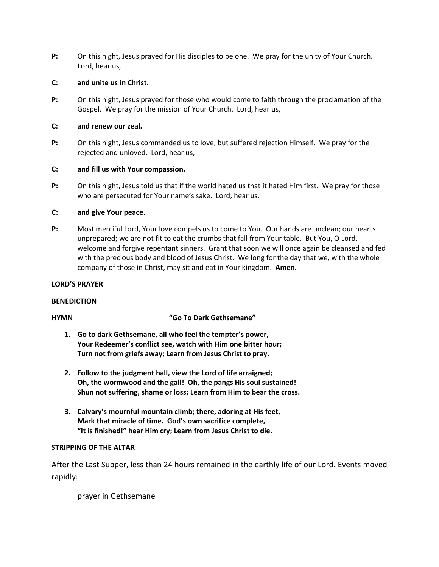**P:** On this night, Jesus prayed for His disciples to be one. We pray for the unity of Your Church. Lord, hear us,

# **C: and unite us in Christ.**

**P:** On this night, Jesus prayed for those who would come to faith through the proclamation of the Gospel. We pray for the mission of Your Church. Lord, hear us,

# **C: and renew our zeal.**

**P:** On this night, Jesus commanded us to love, but suffered rejection Himself. We pray for the rejected and unloved. Lord, hear us,

# **C: and fill us with Your compassion.**

**P:** On this night, Jesus told us that if the world hated us that it hated Him first. We pray for those who are persecuted for Your name's sake. Lord, hear us,

# **C: and give Your peace.**

**P:** Most merciful Lord, Your love compels us to come to You. Our hands are unclean; our hearts unprepared; we are not fit to eat the crumbs that fall from Your table. But You, O Lord, welcome and forgive repentant sinners. Grant that soon we will once again be cleansed and fed with the precious body and blood of Jesus Christ. We long for the day that we, with the whole company of those in Christ, may sit and eat in Your kingdom. **Amen.** 

# **LORD'S PRAYER**

# **BENEDICTION**

# **HYMN "Go To Dark Gethsemane"**

- **1. Go to dark Gethsemane, all who feel the tempter's power, Your Redeemer's conflict see, watch with Him one bitter hour; Turn not from griefs away; Learn from Jesus Christ to pray.**
- **2. Follow to the judgment hall, view the Lord of life arraigned; Oh, the wormwood and the gall! Oh, the pangs His soul sustained! Shun not suffering, shame or loss; Learn from Him to bear the cross.**
- **3. Calvary's mournful mountain climb; there, adoring at His feet, Mark that miracle of time. God's own sacrifice complete, "It is finished!" hear Him cry; Learn from Jesus Christ to die.**

# **STRIPPING OF THE ALTAR**

After the Last Supper, less than 24 hours remained in the earthly life of our Lord. Events moved rapidly:

prayer in Gethsemane